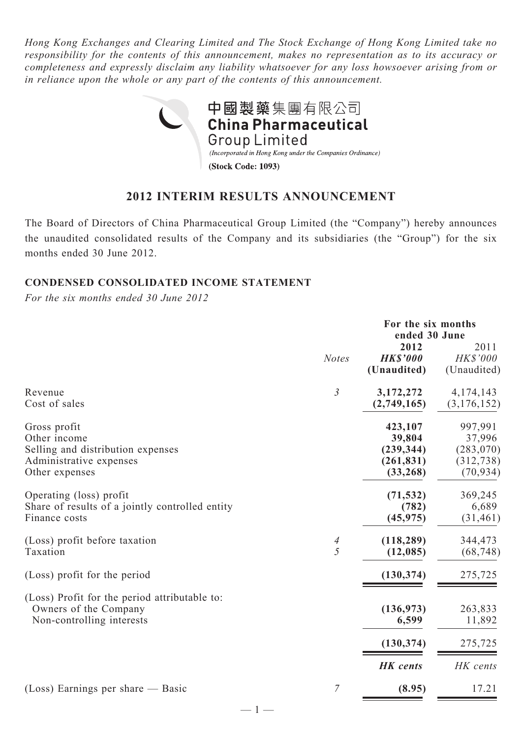*Hong Kong Exchanges and Clearing Limited and The Stock Exchange of Hong Kong Limited take no responsibility for the contents of this announcement, makes no representation as to its accuracy or completeness and expressly disclaim any liability whatsoever for any loss howsoever arising from or in reliance upon the whole or any part of the contents of this announcement.*



# **2012 INTERIM RESULTS ANNOUNCEMENT**

The Board of Directors of China Pharmaceutical Group Limited (the "Company") hereby announces the unaudited consolidated results of the Company and its subsidiaries (the "Group") for the six months ended 30 June 2012.

### **Condensed Consolidated Income Statement**

*For the six months ended 30 June 2012*

|                                                                                                                | For the six months<br>ended 30 June |                                                            |                                                            |
|----------------------------------------------------------------------------------------------------------------|-------------------------------------|------------------------------------------------------------|------------------------------------------------------------|
|                                                                                                                | <b>Notes</b>                        | 2012<br><b>HK\$'000</b><br>(Unaudited)                     | 2011<br><b>HK\$'000</b><br>(Unaudited)                     |
| Revenue<br>Cost of sales                                                                                       | 3                                   | 3,172,272<br>(2,749,165)                                   | 4, 174, 143<br>(3, 176, 152)                               |
| Gross profit<br>Other income<br>Selling and distribution expenses<br>Administrative expenses<br>Other expenses |                                     | 423,107<br>39,804<br>(239, 344)<br>(261, 831)<br>(33, 268) | 997,991<br>37,996<br>(283, 070)<br>(312, 738)<br>(70, 934) |
| Operating (loss) profit<br>Share of results of a jointly controlled entity<br>Finance costs                    |                                     | (71, 532)<br>(782)<br>(45, 975)                            | 369,245<br>6,689<br>(31, 461)                              |
| (Loss) profit before taxation<br>Taxation                                                                      | 4<br>$\overline{5}$                 | (118, 289)<br>(12, 085)                                    | 344,473<br>(68, 748)                                       |
| (Loss) profit for the period                                                                                   |                                     | (130, 374)                                                 | 275,725                                                    |
| (Loss) Profit for the period attributable to:<br>Owners of the Company<br>Non-controlling interests            |                                     | (136, 973)<br>6,599                                        | 263,833<br>11,892                                          |
|                                                                                                                |                                     | (130, 374)                                                 | 275,725                                                    |
|                                                                                                                |                                     | <b>HK</b> cents                                            | HK cents                                                   |
| $(Loss)$ Earnings per share — Basic                                                                            | $\overline{7}$                      | (8.95)                                                     | 17.21                                                      |

 $-1-$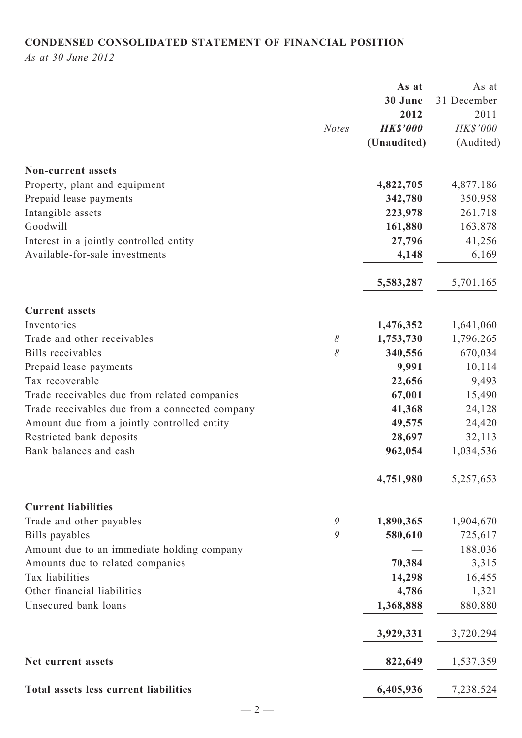# **CONDENSED CONSOLIDATED STATEMENT OF FINANCIAL POSITION**

*As at 30 June 2012*

|                                                |               | As at           | As at       |
|------------------------------------------------|---------------|-----------------|-------------|
|                                                |               | 30 June         | 31 December |
|                                                |               | 2012            | 2011        |
|                                                | <b>Notes</b>  | <b>HK\$'000</b> | HK\$'000    |
|                                                |               | (Unaudited)     | (Audited)   |
| <b>Non-current assets</b>                      |               |                 |             |
| Property, plant and equipment                  |               | 4,822,705       | 4,877,186   |
| Prepaid lease payments                         |               | 342,780         | 350,958     |
| Intangible assets                              |               | 223,978         | 261,718     |
| Goodwill                                       |               | 161,880         | 163,878     |
| Interest in a jointly controlled entity        |               | 27,796          | 41,256      |
| Available-for-sale investments                 |               | 4,148           | 6,169       |
|                                                |               | 5,583,287       | 5,701,165   |
| <b>Current assets</b>                          |               |                 |             |
| Inventories                                    |               | 1,476,352       | 1,641,060   |
| Trade and other receivables                    | $\delta$      | 1,753,730       | 1,796,265   |
| Bills receivables                              | 8             | 340,556         | 670,034     |
| Prepaid lease payments                         |               | 9,991           | 10,114      |
| Tax recoverable                                |               | 22,656          | 9,493       |
| Trade receivables due from related companies   |               | 67,001          | 15,490      |
| Trade receivables due from a connected company |               | 41,368          | 24,128      |
| Amount due from a jointly controlled entity    |               | 49,575          | 24,420      |
| Restricted bank deposits                       |               | 28,697          | 32,113      |
| Bank balances and cash                         |               | 962,054         | 1,034,536   |
|                                                |               | 4,751,980       | 5,257,653   |
| <b>Current liabilities</b>                     |               |                 |             |
| Trade and other payables                       | $\mathcal{G}$ | 1,890,365       | 1,904,670   |
| Bills payables                                 | 9             | 580,610         | 725,617     |
| Amount due to an immediate holding company     |               |                 | 188,036     |
| Amounts due to related companies               |               | 70,384          | 3,315       |
| Tax liabilities                                |               | 14,298          | 16,455      |
| Other financial liabilities                    |               | 4,786           | 1,321       |
| Unsecured bank loans                           |               | 1,368,888       | 880,880     |
|                                                |               | 3,929,331       | 3,720,294   |
| Net current assets                             |               | 822,649         | 1,537,359   |
| Total assets less current liabilities          |               | 6,405,936       | 7,238,524   |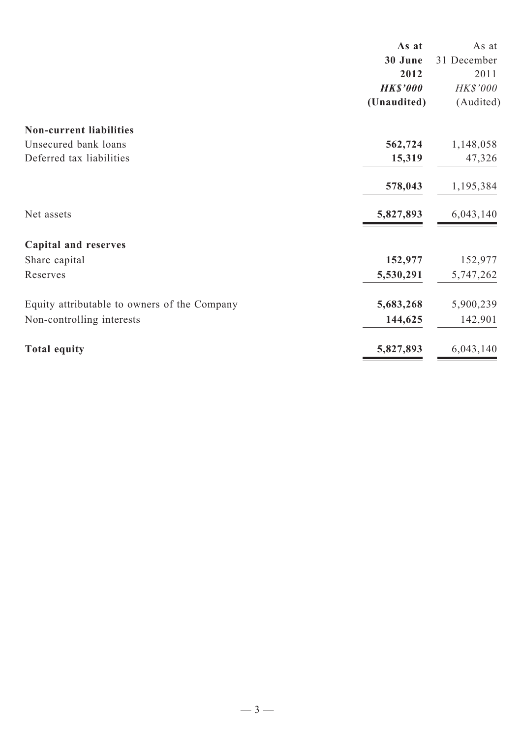|                                              | As at           | As at       |
|----------------------------------------------|-----------------|-------------|
|                                              | 30 June         | 31 December |
|                                              | 2012            | 2011        |
|                                              | <b>HK\$'000</b> | HK\$'000    |
|                                              | (Unaudited)     | (Audited)   |
| <b>Non-current liabilities</b>               |                 |             |
| Unsecured bank loans                         | 562,724         | 1,148,058   |
| Deferred tax liabilities                     | 15,319          | 47,326      |
|                                              | 578,043         | 1,195,384   |
| Net assets                                   | 5,827,893       | 6,043,140   |
| <b>Capital and reserves</b>                  |                 |             |
| Share capital                                | 152,977         | 152,977     |
| Reserves                                     | 5,530,291       | 5,747,262   |
| Equity attributable to owners of the Company | 5,683,268       | 5,900,239   |
| Non-controlling interests                    | 144,625         | 142,901     |
| <b>Total equity</b>                          | 5,827,893       | 6,043,140   |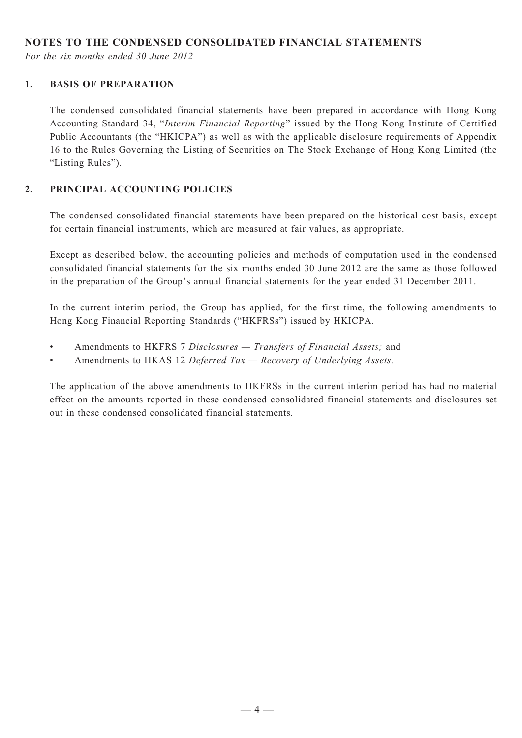### **NOTES TO THE CONDENSED CONSOLIDATED FINANCIAL STATEMENTS**

*For the six months ended 30 June 2012*

#### **1. BASIS OF PREPARATION**

The condensed consolidated financial statements have been prepared in accordance with Hong Kong Accounting Standard 34, "*Interim Financial Reporting*" issued by the Hong Kong Institute of Certified Public Accountants (the "HKICPA") as well as with the applicable disclosure requirements of Appendix 16 to the Rules Governing the Listing of Securities on The Stock Exchange of Hong Kong Limited (the "Listing Rules").

#### **2. PRINCIPAL ACCOUNTING POLICIES**

The condensed consolidated financial statements have been prepared on the historical cost basis, except for certain financial instruments, which are measured at fair values, as appropriate.

Except as described below, the accounting policies and methods of computation used in the condensed consolidated financial statements for the six months ended 30 June 2012 are the same as those followed in the preparation of the Group's annual financial statements for the year ended 31 December 2011.

In the current interim period, the Group has applied, for the first time, the following amendments to Hong Kong Financial Reporting Standards ("HKFRSs") issued by HKICPA.

- Amendments to HKFRS 7 *Disclosures Transfers of Financial Assets*; and
- • Amendments to HKAS 12 *Deferred Tax Recovery of Underlying Assets.*

The application of the above amendments to HKFRSs in the current interim period has had no material effect on the amounts reported in these condensed consolidated financial statements and disclosures set out in these condensed consolidated financial statements.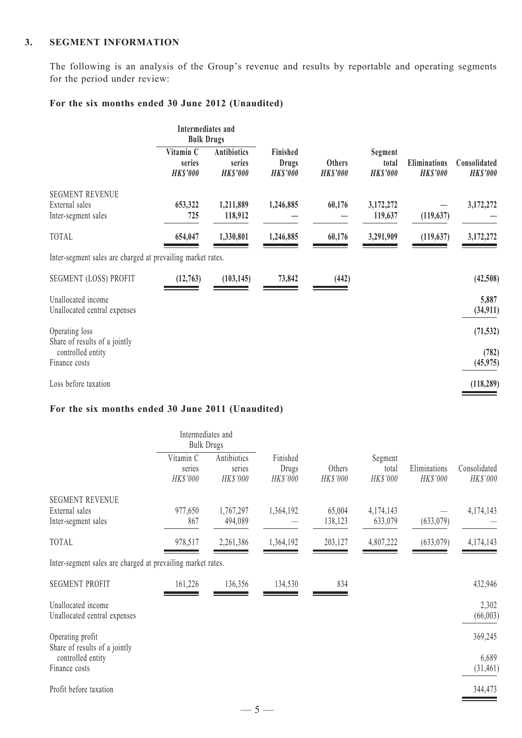#### **3. SEGMENT INFORMATION**

The following is an analysis of the Group's revenue and results by reportable and operating segments for the period under review:

# **For the six months ended 30 June 2012 (Unaudited)**

|                                                                 | Intermediates and<br><b>Bulk Drugs</b> |                                                 |                                      |                                  |                                     |                                        |                                 |  |  |
|-----------------------------------------------------------------|----------------------------------------|-------------------------------------------------|--------------------------------------|----------------------------------|-------------------------------------|----------------------------------------|---------------------------------|--|--|
|                                                                 | Vitamin C<br>series<br><b>HK\$'000</b> | <b>Antibiotics</b><br>series<br><b>HK\$'000</b> | Finished<br>Drugs<br><b>HK\$'000</b> | <b>Others</b><br><b>HK\$'000</b> | Segment<br>total<br><b>HK\$'000</b> | <b>Eliminations</b><br><b>HK\$'000</b> | Consolidated<br><b>HK\$'000</b> |  |  |
| <b>SEGMENT REVENUE</b><br>External sales<br>Inter-segment sales | 653,322<br>725                         | 1,211,889<br>118,912                            | 1,246,885                            | 60,176                           | 3,172,272<br>119,637                | (119, 637)                             | 3,172,272                       |  |  |
| <b>TOTAL</b>                                                    | 654,047                                | 1,330,801                                       | 1,246,885                            | 60,176                           | 3,291,909                           | (119, 637)                             | 3,172,272                       |  |  |
| Inter-segment sales are charged at prevailing market rates.     |                                        |                                                 |                                      |                                  |                                     |                                        |                                 |  |  |
| <b>SEGMENT (LOSS) PROFIT</b>                                    | (12, 763)                              | (103, 145)                                      | 73,842                               | (442)                            |                                     |                                        | (42,508)                        |  |  |
| Unallocated income<br>Unallocated central expenses              |                                        |                                                 |                                      |                                  |                                     |                                        | 5,887<br>(34, 911)              |  |  |
| Operating loss<br>Share of results of a jointly                 |                                        |                                                 |                                      |                                  |                                     |                                        | (71, 532)                       |  |  |
| controlled entity<br>Finance costs                              |                                        |                                                 |                                      |                                  |                                     |                                        | (782)<br>(45, 975)              |  |  |
| Loss before taxation                                            |                                        |                                                 |                                      |                                  |                                     |                                        | (118, 289)                      |  |  |

# **For the six months ended 30 June 2011 (Unaudited)**

|                                                             | Intermediates and<br><b>Bulk Drugs</b> |                                   |                               |                    |                              |                          |                          |  |  |  |  |  |  |
|-------------------------------------------------------------|----------------------------------------|-----------------------------------|-------------------------------|--------------------|------------------------------|--------------------------|--------------------------|--|--|--|--|--|--|
|                                                             | Vitamin C<br>series<br>HK\$'000        | Antibiotics<br>series<br>HK\$'000 | Finished<br>Drugs<br>HK\$'000 | Others<br>HK\$'000 | Segment<br>total<br>HK\$'000 | Eliminations<br>HK\$'000 | Consolidated<br>HK\$'000 |  |  |  |  |  |  |
| <b>SEGMENT REVENUE</b>                                      |                                        |                                   |                               |                    |                              |                          |                          |  |  |  |  |  |  |
| External sales<br>Inter-segment sales                       | 977,650<br>867                         | 1,767,297<br>494,089              | 1,364,192                     | 65,004<br>138,123  | 4,174,143<br>633,079         | (633,079)                | 4,174,143                |  |  |  |  |  |  |
| TOTAL                                                       | 978,517                                | 2,261,386                         | 1,364,192                     | 203,127            | 4,807,222                    | (633,079)                | 4,174,143                |  |  |  |  |  |  |
| Inter-segment sales are charged at prevailing market rates. |                                        |                                   |                               |                    |                              |                          |                          |  |  |  |  |  |  |
| <b>SEGMENT PROFIT</b>                                       | 161,226                                | 136,356                           | 134,530                       | 834                |                              |                          | 432,946                  |  |  |  |  |  |  |
| Unallocated income<br>Unallocated central expenses          |                                        |                                   |                               |                    |                              |                          | 2,302<br>(66, 003)       |  |  |  |  |  |  |
| Operating profit                                            |                                        |                                   |                               |                    |                              |                          | 369,245                  |  |  |  |  |  |  |
| Share of results of a jointly<br>controlled entity          |                                        |                                   |                               |                    |                              |                          | 6,689                    |  |  |  |  |  |  |
| Finance costs                                               |                                        |                                   |                               |                    |                              |                          | (31, 461)                |  |  |  |  |  |  |
| Profit before taxation                                      |                                        |                                   |                               |                    |                              |                          | 344,473                  |  |  |  |  |  |  |
|                                                             |                                        | $-5-$                             |                               |                    |                              |                          |                          |  |  |  |  |  |  |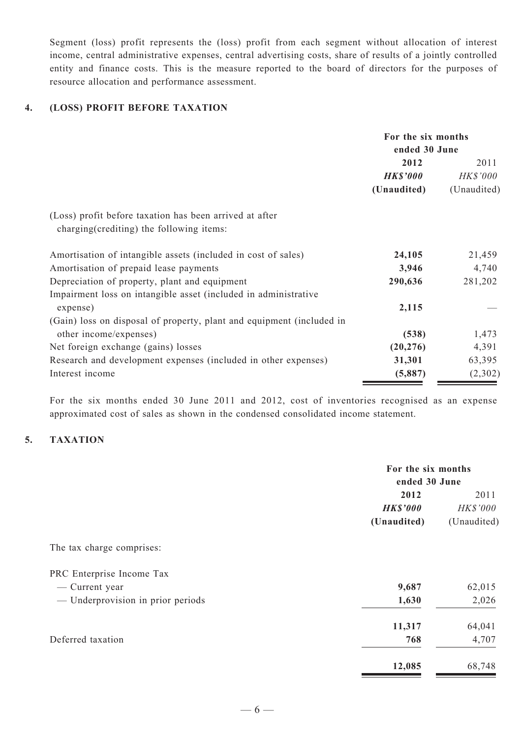Segment (loss) profit represents the (loss) profit from each segment without allocation of interest income, central administrative expenses, central advertising costs, share of results of a jointly controlled entity and finance costs. This is the measure reported to the board of directors for the purposes of resource allocation and performance assessment.

#### **4. (LOSS) PROFIT BEFORE TAXATION**

|                                                                       | For the six months<br>ended 30 June |             |
|-----------------------------------------------------------------------|-------------------------------------|-------------|
|                                                                       | 2012                                | 2011        |
|                                                                       | <b>HK\$'000</b>                     | HK\$'000    |
|                                                                       | (Unaudited)                         | (Unaudited) |
| (Loss) profit before taxation has been arrived at after               |                                     |             |
| charging (crediting) the following items:                             |                                     |             |
| Amortisation of intangible assets (included in cost of sales)         | 24,105                              | 21,459      |
| Amortisation of prepaid lease payments                                | 3,946                               | 4,740       |
| Depreciation of property, plant and equipment                         | 290,636                             | 281,202     |
| Impairment loss on intangible asset (included in administrative       |                                     |             |
| expense)                                                              | 2,115                               |             |
| (Gain) loss on disposal of property, plant and equipment (included in |                                     |             |
| other income/expenses)                                                | (538)                               | 1,473       |
| Net foreign exchange (gains) losses                                   | (20, 276)                           | 4,391       |
| Research and development expenses (included in other expenses)        | 31,301                              | 63,395      |
| Interest income                                                       | (5,887)                             | (2,302)     |

For the six months ended 30 June 2011 and 2012, cost of inventories recognised as an expense approximated cost of sales as shown in the condensed consolidated income statement.

### **5. TAXATION**

| For the six months |             |  |
|--------------------|-------------|--|
| ended 30 June      |             |  |
| 2012               |             |  |
| <b>HK\$'000</b>    | HK\$'000    |  |
| (Unaudited)        | (Unaudited) |  |
|                    |             |  |
|                    |             |  |
| 9,687              | 62,015      |  |
| 1,630              | 2,026       |  |
| 11,317             | 64,041      |  |
| 768                | 4,707       |  |
| 12,085             | 68,748      |  |
|                    |             |  |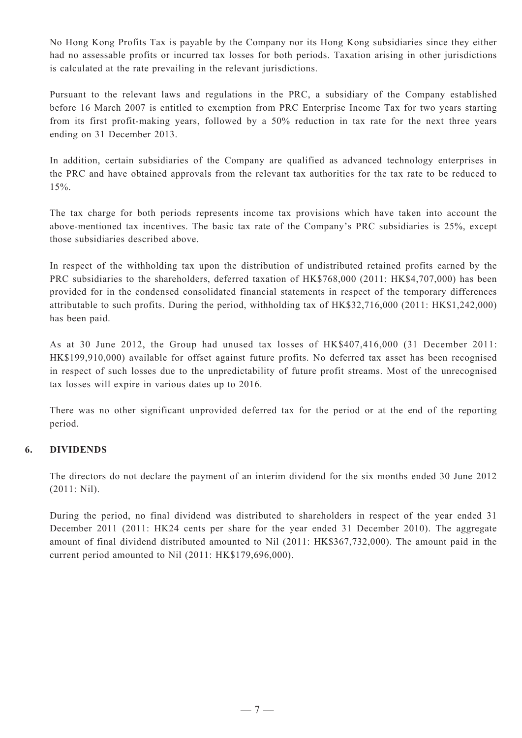No Hong Kong Profits Tax is payable by the Company nor its Hong Kong subsidiaries since they either had no assessable profits or incurred tax losses for both periods. Taxation arising in other jurisdictions is calculated at the rate prevailing in the relevant jurisdictions.

Pursuant to the relevant laws and regulations in the PRC, a subsidiary of the Company established before 16 March 2007 is entitled to exemption from PRC Enterprise Income Tax for two years starting from its first profit-making years, followed by a 50% reduction in tax rate for the next three years ending on 31 December 2013.

In addition, certain subsidiaries of the Company are qualified as advanced technology enterprises in the PRC and have obtained approvals from the relevant tax authorities for the tax rate to be reduced to 15%.

The tax charge for both periods represents income tax provisions which have taken into account the above-mentioned tax incentives. The basic tax rate of the Company's PRC subsidiaries is 25%, except those subsidiaries described above.

In respect of the withholding tax upon the distribution of undistributed retained profits earned by the PRC subsidiaries to the shareholders, deferred taxation of HK\$768,000 (2011: HK\$4,707,000) has been provided for in the condensed consolidated financial statements in respect of the temporary differences attributable to such profits. During the period, withholding tax of HK\$32,716,000 (2011: HK\$1,242,000) has been paid.

As at 30 June 2012, the Group had unused tax losses of HK\$407,416,000 (31 December 2011: HK\$199,910,000) available for offset against future profits. No deferred tax asset has been recognised in respect of such losses due to the unpredictability of future profit streams. Most of the unrecognised tax losses will expire in various dates up to 2016.

There was no other significant unprovided deferred tax for the period or at the end of the reporting period.

#### **6. DIVIDENDS**

The directors do not declare the payment of an interim dividend for the six months ended 30 June 2012 (2011: Nil).

During the period, no final dividend was distributed to shareholders in respect of the year ended 31 December 2011 (2011: HK24 cents per share for the year ended 31 December 2010). The aggregate amount of final dividend distributed amounted to Nil (2011: HK\$367,732,000). The amount paid in the current period amounted to Nil (2011: HK\$179,696,000).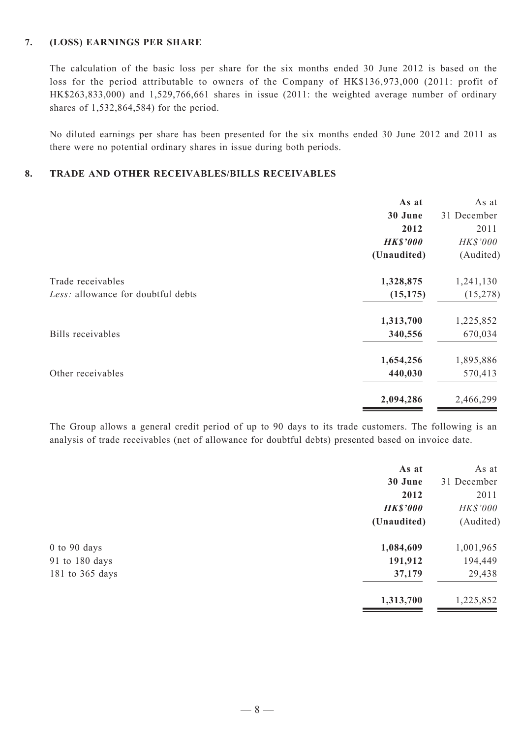#### **7. (LOSS) EARNINGS PER SHARE**

The calculation of the basic loss per share for the six months ended 30 June 2012 is based on the loss for the period attributable to owners of the Company of HK\$136,973,000 (2011: profit of HK\$263,833,000) and 1,529,766,661 shares in issue (2011: the weighted average number of ordinary shares of 1,532,864,584) for the period.

No diluted earnings per share has been presented for the six months ended 30 June 2012 and 2011 as there were no potential ordinary shares in issue during both periods.

#### **8. TRADE AND OTHER RECEIVABLES/BILLS RECEIVABLES**

|                                    | As at           | As at       |
|------------------------------------|-----------------|-------------|
|                                    | 30 June         | 31 December |
|                                    | 2012            | 2011        |
|                                    | <b>HK\$'000</b> | HK\$'000    |
|                                    | (Unaudited)     | (Audited)   |
| Trade receivables                  | 1,328,875       | 1,241,130   |
| Less: allowance for doubtful debts | (15, 175)       | (15, 278)   |
|                                    | 1,313,700       | 1,225,852   |
| Bills receivables                  | 340,556         | 670,034     |
|                                    | 1,654,256       | 1,895,886   |
| Other receivables                  | 440,030         | 570,413     |
|                                    | 2,094,286       | 2,466,299   |

The Group allows a general credit period of up to 90 days to its trade customers. The following is an analysis of trade receivables (net of allowance for doubtful debts) presented based on invoice date.

|                  | As at           | As at       |
|------------------|-----------------|-------------|
|                  | 30 June         | 31 December |
|                  | 2012            | 2011        |
|                  | <b>HK\$'000</b> | HK\$'000    |
|                  | (Unaudited)     | (Audited)   |
| $0$ to $90$ days | 1,084,609       | 1,001,965   |
| 91 to 180 days   | 191,912         | 194,449     |
| 181 to 365 days  | 37,179          | 29,438      |
|                  | 1,313,700       | 1,225,852   |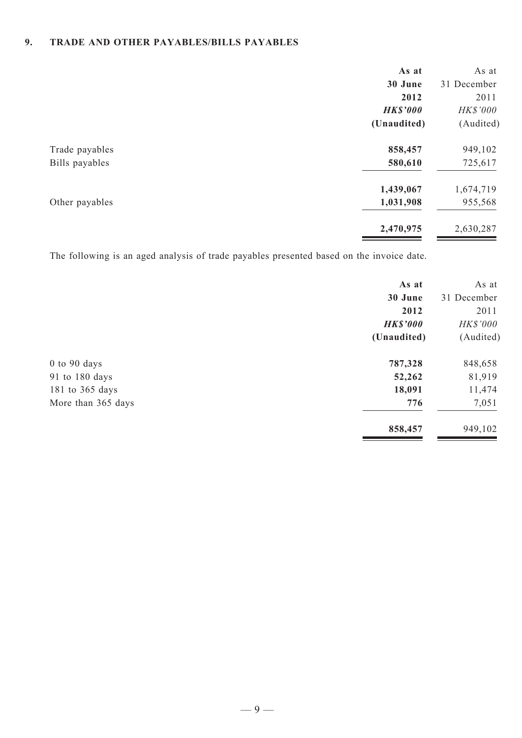# **9. TRADE AND OTHER PAYABLES/BILLS PAYABLES**

| As at           | As at       |
|-----------------|-------------|
| 30 June         | 31 December |
| 2012            | 2011        |
| <b>HK\$'000</b> | HK\$'000    |
| (Unaudited)     | (Audited)   |
| 858,457         | 949,102     |
| 580,610         | 725,617     |
| 1,439,067       | 1,674,719   |
| 1,031,908       | 955,568     |
| 2,470,975       | 2,630,287   |
|                 |             |

The following is an aged analysis of trade payables presented based on the invoice date.

| As at           | As at       |
|-----------------|-------------|
| 30 June         | 31 December |
| 2012            | 2011        |
| <b>HK\$'000</b> | HK\$'000    |
| (Unaudited)     | (Audited)   |
| 787,328         | 848,658     |
| 52,262          | 81,919      |
| 18,091          | 11,474      |
| 776             | 7,051       |
| 858,457         | 949,102     |
|                 |             |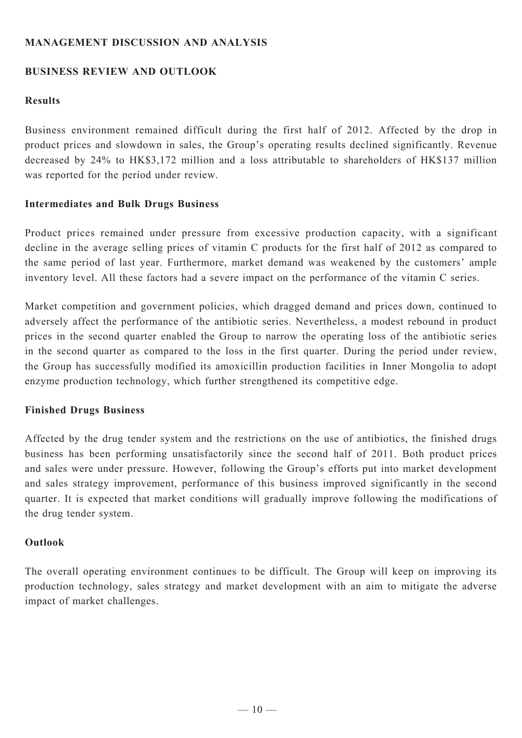# **MANAGEMENT DISCUSSION AND ANALYSIS**

# **BUSINESS REVIEW AND OUTLOOK**

# **Results**

Business environment remained difficult during the first half of 2012. Affected by the drop in product prices and slowdown in sales, the Group's operating results declined significantly. Revenue decreased by 24% to HK\$3,172 million and a loss attributable to shareholders of HK\$137 million was reported for the period under review.

### **Intermediates and Bulk Drugs Business**

Product prices remained under pressure from excessive production capacity, with a significant decline in the average selling prices of vitamin C products for the first half of 2012 as compared to the same period of last year. Furthermore, market demand was weakened by the customers' ample inventory level. All these factors had a severe impact on the performance of the vitamin C series.

Market competition and government policies, which dragged demand and prices down, continued to adversely affect the performance of the antibiotic series. Nevertheless, a modest rebound in product prices in the second quarter enabled the Group to narrow the operating loss of the antibiotic series in the second quarter as compared to the loss in the first quarter. During the period under review, the Group has successfully modified its amoxicillin production facilities in Inner Mongolia to adopt enzyme production technology, which further strengthened its competitive edge.

### **Finished Drugs Business**

Affected by the drug tender system and the restrictions on the use of antibiotics, the finished drugs business has been performing unsatisfactorily since the second half of 2011. Both product prices and sales were under pressure. However, following the Group's efforts put into market development and sales strategy improvement, performance of this business improved significantly in the second quarter. It is expected that market conditions will gradually improve following the modifications of the drug tender system.

### **Outlook**

The overall operating environment continues to be difficult. The Group will keep on improving its production technology, sales strategy and market development with an aim to mitigate the adverse impact of market challenges.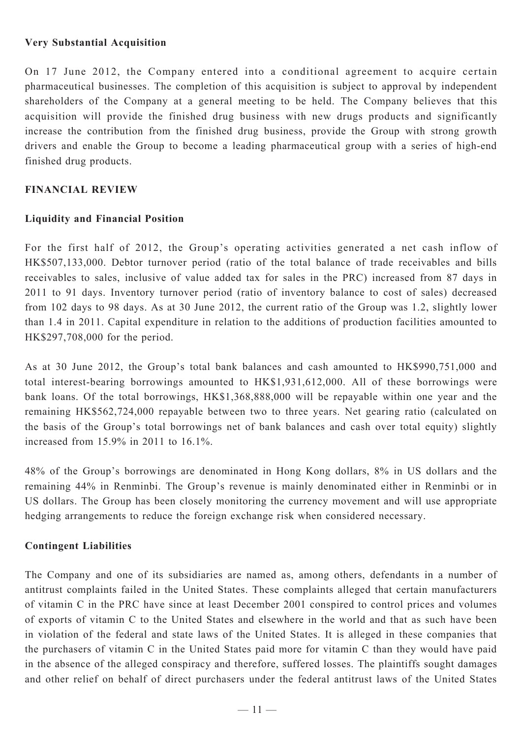### **Very Substantial Acquisition**

On 17 June 2012, the Company entered into a conditional agreement to acquire certain pharmaceutical businesses. The completion of this acquisition is subject to approval by independent shareholders of the Company at a general meeting to be held. The Company believes that this acquisition will provide the finished drug business with new drugs products and significantly increase the contribution from the finished drug business, provide the Group with strong growth drivers and enable the Group to become a leading pharmaceutical group with a series of high-end finished drug products.

### **Financial Review**

### **Liquidity and Financial Position**

For the first half of 2012, the Group's operating activities generated a net cash inflow of HK\$507,133,000. Debtor turnover period (ratio of the total balance of trade receivables and bills receivables to sales, inclusive of value added tax for sales in the PRC) increased from 87 days in 2011 to 91 days. Inventory turnover period (ratio of inventory balance to cost of sales) decreased from 102 days to 98 days. As at 30 June 2012, the current ratio of the Group was 1.2, slightly lower than 1.4 in 2011. Capital expenditure in relation to the additions of production facilities amounted to HK\$297,708,000 for the period.

As at 30 June 2012, the Group's total bank balances and cash amounted to HK\$990,751,000 and total interest-bearing borrowings amounted to HK\$1,931,612,000. All of these borrowings were bank loans. Of the total borrowings, HK\$1,368,888,000 will be repayable within one year and the remaining HK\$562,724,000 repayable between two to three years. Net gearing ratio (calculated on the basis of the Group's total borrowings net of bank balances and cash over total equity) slightly increased from 15.9% in 2011 to 16.1%.

48% of the Group's borrowings are denominated in Hong Kong dollars, 8% in US dollars and the remaining 44% in Renminbi. The Group's revenue is mainly denominated either in Renminbi or in US dollars. The Group has been closely monitoring the currency movement and will use appropriate hedging arrangements to reduce the foreign exchange risk when considered necessary.

### **Contingent Liabilities**

The Company and one of its subsidiaries are named as, among others, defendants in a number of antitrust complaints failed in the United States. These complaints alleged that certain manufacturers of vitamin C in the PRC have since at least December 2001 conspired to control prices and volumes of exports of vitamin C to the United States and elsewhere in the world and that as such have been in violation of the federal and state laws of the United States. It is alleged in these companies that the purchasers of vitamin C in the United States paid more for vitamin C than they would have paid in the absence of the alleged conspiracy and therefore, suffered losses. The plaintiffs sought damages and other relief on behalf of direct purchasers under the federal antitrust laws of the United States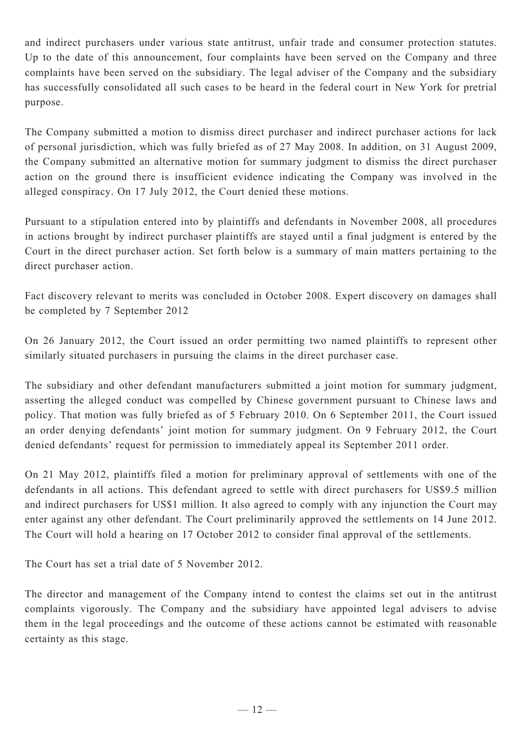and indirect purchasers under various state antitrust, unfair trade and consumer protection statutes. Up to the date of this announcement, four complaints have been served on the Company and three complaints have been served on the subsidiary. The legal adviser of the Company and the subsidiary has successfully consolidated all such cases to be heard in the federal court in New York for pretrial purpose.

The Company submitted a motion to dismiss direct purchaser and indirect purchaser actions for lack of personal jurisdiction, which was fully briefed as of 27 May 2008. In addition, on 31 August 2009, the Company submitted an alternative motion for summary judgment to dismiss the direct purchaser action on the ground there is insufficient evidence indicating the Company was involved in the alleged conspiracy. On 17 July 2012, the Court denied these motions.

Pursuant to a stipulation entered into by plaintiffs and defendants in November 2008, all procedures in actions brought by indirect purchaser plaintiffs are stayed until a final judgment is entered by the Court in the direct purchaser action. Set forth below is a summary of main matters pertaining to the direct purchaser action.

Fact discovery relevant to merits was concluded in October 2008. Expert discovery on damages shall be completed by 7 September 2012

On 26 January 2012, the Court issued an order permitting two named plaintiffs to represent other similarly situated purchasers in pursuing the claims in the direct purchaser case.

The subsidiary and other defendant manufacturers submitted a joint motion for summary judgment, asserting the alleged conduct was compelled by Chinese government pursuant to Chinese laws and policy. That motion was fully briefed as of 5 February 2010. On 6 September 2011, the Court issued an order denying defendants' joint motion for summary judgment. On 9 February 2012, the Court denied defendants' request for permission to immediately appeal its September 2011 order.

On 21 May 2012, plaintiffs filed a motion for preliminary approval of settlements with one of the defendants in all actions. This defendant agreed to settle with direct purchasers for US\$9.5 million and indirect purchasers for US\$1 million. It also agreed to comply with any injunction the Court may enter against any other defendant. The Court preliminarily approved the settlements on 14 June 2012. The Court will hold a hearing on 17 October 2012 to consider final approval of the settlements.

The Court has set a trial date of 5 November 2012.

The director and management of the Company intend to contest the claims set out in the antitrust complaints vigorously. The Company and the subsidiary have appointed legal advisers to advise them in the legal proceedings and the outcome of these actions cannot be estimated with reasonable certainty as this stage.